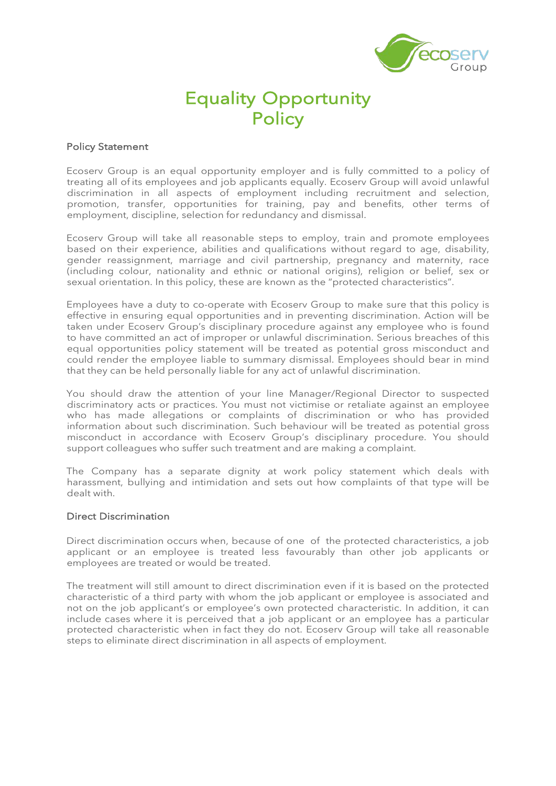

## Equality Opportunity **Policy**

## Policy Statement

Ecoserv Group is an equal opportunity employer and is fully committed to a policy of treating all of its employees and job applicants equally. Ecoserv Group will avoid unlawful discrimination in all aspects of employment including recruitment and selection, promotion, transfer, opportunities for training, pay and benefits, other terms of employment, discipline, selection for redundancy and dismissal.

Ecoserv Group will take all reasonable steps to employ, train and promote employees based on their experience, abilities and qualifications without regard to age, disability, gender reassignment, marriage and civil partnership, pregnancy and maternity, race (including colour, nationality and ethnic or national origins), religion or belief, sex or sexual orientation. In this policy, these are known as the "protected characteristics".

Employees have a duty to co-operate with Ecoserv Group to make sure that this policy is effective in ensuring equal opportunities and in preventing discrimination. Action will be taken under Ecoserv Group's disciplinary procedure against any employee who is found to have committed an act of improper or unlawful discrimination. Serious breaches of this equal opportunities policy statement will be treated as potential gross misconduct and could render the employee liable to summary dismissal. Employees should bear in mind that they can be held personally liable for any act of unlawful discrimination.

You should draw the attention of your line Manager/Regional Director to suspected discriminatory acts or practices. You must not victimise or retaliate against an employee who has made allegations or complaints of discrimination or who has provided information about such discrimination. Such behaviour will be treated as potential gross misconduct in accordance with Ecoserv Group's disciplinary procedure. You should support colleagues who suffer such treatment and are making a complaint.

The Company has a separate dignity at work policy statement which deals with harassment, bullying and intimidation and sets out how complaints of that type will be dealt with.

## Direct Discrimination

Direct discrimination occurs when, because of one of the protected characteristics, a job applicant or an employee is treated less favourably than other job applicants or employees are treated or would be treated.

The treatment will still amount to direct discrimination even if it is based on the protected characteristic of a third party with whom the job applicant or employee is associated and not on the job applicant's or employee's own protected characteristic. In addition, it can include cases where it is perceived that a job applicant or an employee has a particular protected characteristic when in fact they do not. Ecoserv Group will take all reasonable steps to eliminate direct discrimination in all aspects of employment.